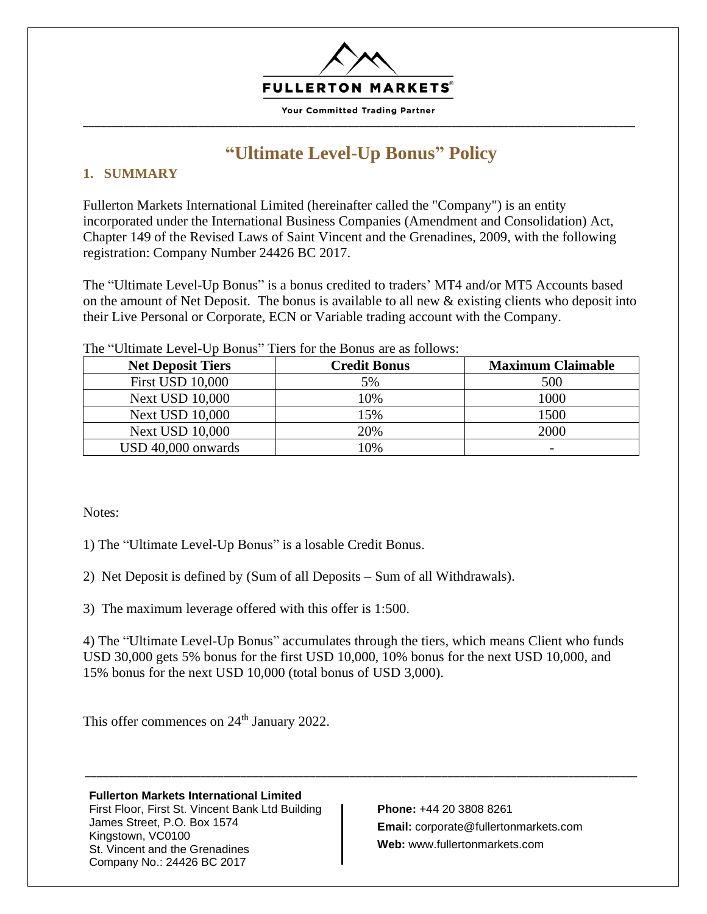

**Your Committed Trading Partner** \_\_\_\_\_\_\_\_\_\_\_\_\_\_\_\_\_\_\_\_\_\_\_\_\_\_\_\_\_\_\_\_\_\_\_\_\_\_\_\_\_\_\_\_\_\_\_\_\_\_\_\_\_\_\_\_\_\_\_\_\_\_\_\_\_\_\_\_\_\_\_\_\_\_\_\_\_\_\_\_\_\_\_\_\_\_\_\_\_\_\_\_\_\_\_\_

# **"Ultimate Level-Up Bonus" Policy**

## **1. SUMMARY**

Fullerton Markets International Limited (hereinafter called the "Company") is an entity incorporated under the International Business Companies (Amendment and Consolidation) Act, Chapter 149 of the Revised Laws of Saint Vincent and the Grenadines, 2009, with the following registration: Company Number 24426 BC 2017.

The "Ultimate Level-Up Bonus" is a bonus credited to traders' MT4 and/or MT5 Accounts based on the amount of Net Deposit. The bonus is available to all new & existing clients who deposit into their Live Personal or Corporate, ECN or Variable trading account with the Company.

| <b>Net Deposit Tiers</b> | <b>Credit Bonus</b> | <b>Maximum Claimable</b> |
|--------------------------|---------------------|--------------------------|
| <b>First USD 10,000</b>  | 5%                  | 500                      |
| <b>Next USD 10,000</b>   | 10%                 | 1000                     |
| <b>Next USD 10,000</b>   | 15%                 | 1500                     |
| <b>Next USD 10,000</b>   | 20%                 | 2000                     |
| USD 40,000 onwards       | 10%                 |                          |

The "Ultimate Level-Up Bonus" Tiers for the Bonus are as follows:

Notes:

1) The "Ultimate Level-Up Bonus" is a losable Credit Bonus.

2) Net Deposit is defined by (Sum of all Deposits – Sum of all Withdrawals).

3) The maximum leverage offered with this offer is 1:500.

4) The "Ultimate Level-Up Bonus" accumulates through the tiers, which means Client who funds USD 30,000 gets 5% bonus for the first USD 10,000, 10% bonus for the next USD 10,000, and 15% bonus for the next USD 10,000 (total bonus of USD 3,000).

\_\_\_\_\_\_\_\_\_\_\_\_\_\_\_\_\_\_\_\_\_\_\_\_\_\_\_\_\_\_\_\_\_\_\_\_\_\_\_\_\_\_\_\_\_\_\_\_\_\_\_\_\_\_\_\_\_\_\_\_\_\_\_\_\_\_\_\_\_\_\_\_\_\_\_\_\_\_\_\_\_\_\_\_\_\_\_\_\_\_\_\_\_\_\_\_

This offer commences on 24<sup>th</sup> January 2022.

## **Fullerton Markets International Limited**

First Floor, First St. Vincent Bank Ltd Building James Street, P.O. Box 1574 Kingstown, VC0100 St. Vincent and the Grenadines Company No.: 24426 BC 2017

**Phone:** +44 20 3808 8261 **Email:** corporate@fullertonmarkets.com **Web:** www.fullertonmarkets.com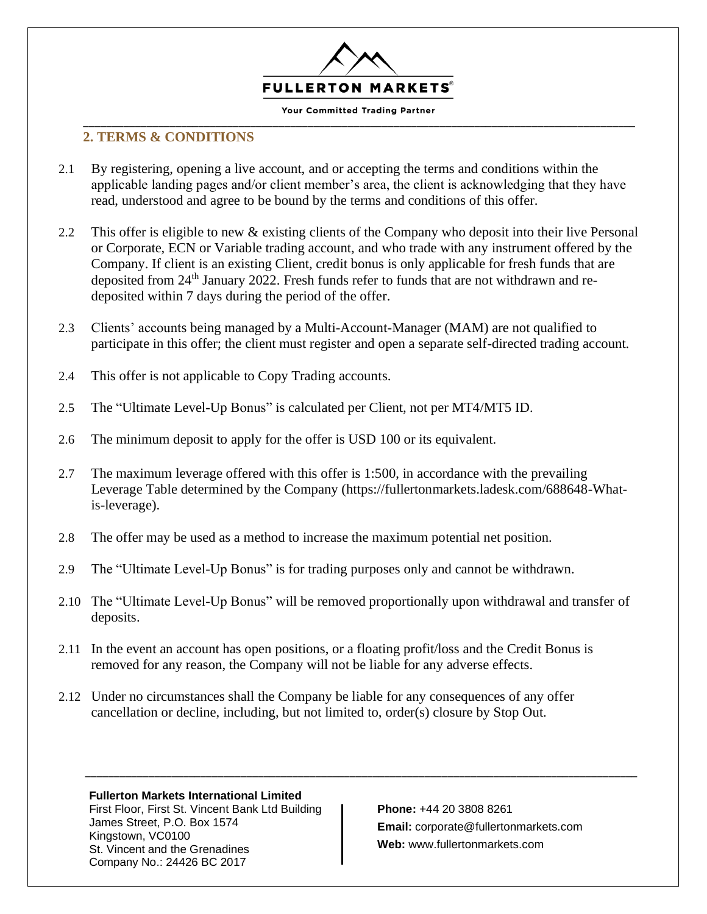

\_\_\_\_\_\_\_\_\_\_\_\_\_\_\_\_\_\_\_\_\_\_\_\_\_\_\_\_\_\_\_\_\_\_\_\_\_\_\_\_\_\_\_\_\_\_\_\_\_\_\_\_\_\_\_\_\_\_\_\_\_\_\_\_\_\_\_\_\_\_\_\_\_\_\_\_\_\_\_\_\_\_\_\_\_\_\_\_\_\_\_\_\_\_\_\_

## **2. TERMS & CONDITIONS**

- 2.1 By registering, opening a live account, and or accepting the terms and conditions within the applicable landing pages and/or client member's area, the client is acknowledging that they have read, understood and agree to be bound by the terms and conditions of this offer.
- 2.2 This offer is eligible to new & existing clients of the Company who deposit into their live Personal or Corporate, ECN or Variable trading account, and who trade with any instrument offered by the Company. If client is an existing Client, credit bonus is only applicable for fresh funds that are deposited from 24<sup>th</sup> January 2022. Fresh funds refer to funds that are not withdrawn and redeposited within 7 days during the period of the offer.
- 2.3 Clients' accounts being managed by a Multi-Account-Manager (MAM) are not qualified to participate in this offer; the client must register and open a separate self-directed trading account.
- 2.4 This offer is not applicable to Copy Trading accounts.
- 2.5 The "Ultimate Level-Up Bonus" is calculated per Client, not per MT4/MT5 ID.
- 2.6 The minimum deposit to apply for the offer is USD 100 or its equivalent.
- 2.7 The maximum leverage offered with this offer is 1:500, in accordance with the prevailing Leverage Table determined by the Company (https://fullertonmarkets.ladesk.com/688648-Whatis-leverage).
- 2.8 The offer may be used as a method to increase the maximum potential net position.
- 2.9 The "Ultimate Level-Up Bonus" is for trading purposes only and cannot be withdrawn.
- 2.10 The "Ultimate Level-Up Bonus" will be removed proportionally upon withdrawal and transfer of deposits.

\_\_\_\_\_\_\_\_\_\_\_\_\_\_\_\_\_\_\_\_\_\_\_\_\_\_\_\_\_\_\_\_\_\_\_\_\_\_\_\_\_\_\_\_\_\_\_\_\_\_\_\_\_\_\_\_\_\_\_\_\_\_\_\_\_\_\_\_\_\_\_\_\_\_\_\_\_\_\_\_\_\_\_\_\_\_\_\_\_\_\_\_\_\_\_\_

- 2.11 In the event an account has open positions, or a floating profit/loss and the Credit Bonus is removed for any reason, the Company will not be liable for any adverse effects.
- 2.12 Under no circumstances shall the Company be liable for any consequences of any offer cancellation or decline, including, but not limited to, order(s) closure by Stop Out.

### **Fullerton Markets International Limited**

First Floor, First St. Vincent Bank Ltd Building James Street, P.O. Box 1574 Kingstown, VC0100 St. Vincent and the Grenadines Company No.: 24426 BC 2017

**Phone:** +44 20 3808 8261 **Email:** corporate@fullertonmarkets.com **Web:** www.fullertonmarkets.com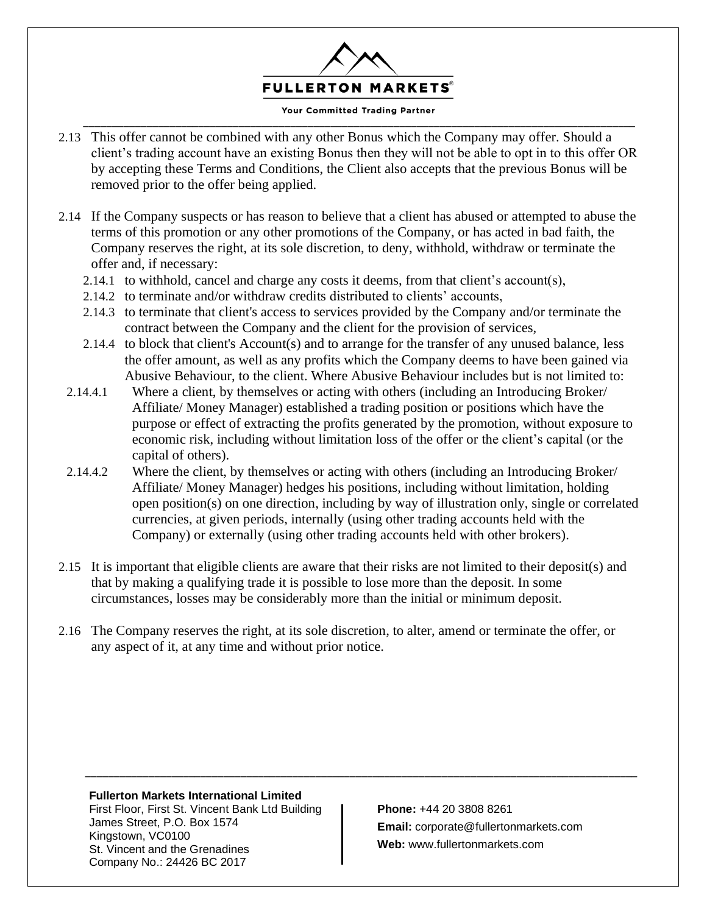

#### Your Committed Trading Partner \_\_\_\_\_\_\_\_\_\_\_\_\_\_\_\_\_\_\_\_\_\_\_\_\_\_\_\_\_\_\_\_\_\_\_\_\_\_\_\_\_\_\_\_\_\_\_\_\_\_\_\_\_\_\_\_\_\_\_\_\_\_\_\_\_\_\_\_\_\_\_\_\_\_\_\_\_\_\_\_\_\_\_\_\_\_\_\_\_\_\_\_\_\_\_\_

- 2.13 This offer cannot be combined with any other Bonus which the Company may offer. Should a client's trading account have an existing Bonus then they will not be able to opt in to this offer OR by accepting these Terms and Conditions, the Client also accepts that the previous Bonus will be removed prior to the offer being applied.
- 2.14 If the Company suspects or has reason to believe that a client has abused or attempted to abuse the terms of this promotion or any other promotions of the Company, or has acted in bad faith, the Company reserves the right, at its sole discretion, to deny, withhold, withdraw or terminate the offer and, if necessary:
	- 2.14.1 to withhold, cancel and charge any costs it deems, from that client's account(s),
	- 2.14.2 to terminate and/or withdraw credits distributed to clients' accounts,
	- 2.14.3 to terminate that client's access to services provided by the Company and/or terminate the contract between the Company and the client for the provision of services,
	- 2.14.4 to block that client's Account(s) and to arrange for the transfer of any unused balance, less the offer amount, as well as any profits which the Company deems to have been gained via Abusive Behaviour, to the client. Where Abusive Behaviour includes but is not limited to:
	- 2.14.4.1 Where a client, by themselves or acting with others (including an Introducing Broker/ Affiliate/ Money Manager) established a trading position or positions which have the purpose or effect of extracting the profits generated by the promotion, without exposure to economic risk, including without limitation loss of the offer or the client's capital (or the capital of others).
	- 2.14.4.2 Where the client, by themselves or acting with others (including an Introducing Broker/ Affiliate/ Money Manager) hedges his positions, including without limitation, holding open position(s) on one direction, including by way of illustration only, single or correlated currencies, at given periods, internally (using other trading accounts held with the Company) or externally (using other trading accounts held with other brokers).
- 2.15 It is important that eligible clients are aware that their risks are not limited to their deposit(s) and that by making a qualifying trade it is possible to lose more than the deposit. In some circumstances, losses may be considerably more than the initial or minimum deposit.
- 2.16 The Company reserves the right, at its sole discretion, to alter, amend or terminate the offer, or any aspect of it, at any time and without prior notice.

\_\_\_\_\_\_\_\_\_\_\_\_\_\_\_\_\_\_\_\_\_\_\_\_\_\_\_\_\_\_\_\_\_\_\_\_\_\_\_\_\_\_\_\_\_\_\_\_\_\_\_\_\_\_\_\_\_\_\_\_\_\_\_\_\_\_\_\_\_\_\_\_\_\_\_\_\_\_\_\_\_\_\_\_\_\_\_\_\_\_\_\_\_\_\_\_

### **Fullerton Markets International Limited**

First Floor, First St. Vincent Bank Ltd Building James Street, P.O. Box 1574 Kingstown, VC0100 St. Vincent and the Grenadines Company No.: 24426 BC 2017

**Phone:** +44 20 3808 8261 **Email:** corporate@fullertonmarkets.com **Web:** www.fullertonmarkets.com